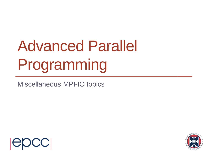# Advanced Parallel Programming

Miscellaneous MPI-IO topics



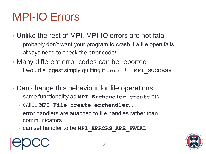# MPI-IO Errors

- Unlike the rest of MPI, MPI-IO errors are not fatal
	- probably don't want your program to crash if a file open fails
	- always need to check the error code!
- Many different error codes can be reported
	- I would suggest simply quitting if **ierr != MPI\_SUCCESS**
- Can change this behaviour for file operations
	- same functionality as **MPI\_Errhandler\_create** etc.
	- called **MPI\_File\_create\_errhandler**, ...
	- error handlers are attached to file handles rather than communicators
	- can set handler to be **MPI\_ERRORS\_ARE\_FATAL**



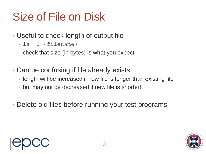# Size of File on Disk

- Useful to check length of output file
	- ls –l <filename>
	- check that size (in bytes) is what you expect
- Can be confusing if file already exists
	- length will be increased if new file is longer than existing file
	- but may not be decreased if new file is shorter!
- Delete old files before running your test programs

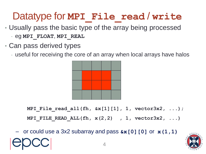### Datatype for **MPI** File read / write

- Usually pass the basic type of the array being processed
	- eg **MPI\_FLOAT**, **MPI\_REAL**
- Can pass derived types
	- useful for receiving the core of an array when local arrays have halos



**MPI\_File\_read\_all(fh, &x[1][1], 1, vector3x2, ...);**

**MPI\_FILE\_READ\_ALL(fh, x(2,2) , 1, vector3x2, ...)**

– or could use a 3x2 subarray and pass **&x[0][0]** or **x(1,1)**

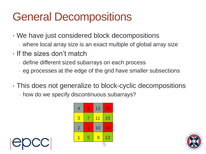### General Decompositions

- We have just considered block decompositions
	- where local array size is an exact multiple of global array size
- If the sizes don't match
	- define different sized subarrays on each process
	- eg processes at the edge of the grid have smaller subsections
- This does not generalize to block-cyclic decompositions
	- how do we specify discontinuous subarrays?





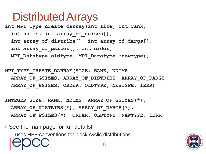### Distributed Arrays

**int MPI\_Type\_create\_darray(int size, int rank, int ndims, int array\_of\_gsizes[], int array\_of\_distribs[], int array\_of\_dargs[], int array\_of\_psizes[], int order, MPI\_Datatype oldtype, MPI\_Datatype \*newtype);**

**MPI\_TYPE\_CREATE\_DARRAY(SIZE, RANK, NDIMS ARRAY\_OF\_GSIZES, ARRAY\_OF\_DISTRIBS, ARRAY\_OF\_DARGS, ARRAY\_OF\_PSIZES, ORDER, OLDTYPE, NEWTYPE, IERR)**

**INTEGER SIZE, RANK, NDIMS, ARRAY\_OF\_GSIZES(\*), ARRAY\_OF\_DISTRIBS(\*), ARRAY\_OF\_DARGS(\*), ARRAY\_OF\_PSIZES(\*), ORDER, OLDTYPE, NEWTYPE, IERR**

• See the man page for full details!

- uses HPF conventions for block-cyclic distributions

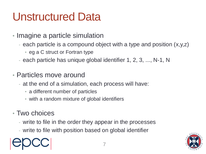### Unstructured Data

- Imagine a particle simulation
	- each particle is a compound object with a type and position (x,y,z)
		- eg a C struct or Fortran type
	- each particle has unique global identifier 1, 2, 3, ..., N-1, N
- Particles move around
	- at the end of a simulation, each process will have:
		- a different number of particles
		- with a random mixture of global identifiers
- Two choices
	- write to file in the order they appear in the processes
	- write to file with position based on global identifier

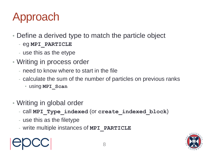# Approach

- Define a derived type to match the particle object
	- eg **MPI\_PARTICLE**
	- use this as the etype
- Writing in process order
	- need to know where to start in the file
	- calculate the sum of the number of particles on previous ranks
		- using **MPI\_Scan**
- Writing in global order
	- call **MPI\_Type\_indexed** (or **create\_indexed\_block**)
	- use this as the filetype
	- write multiple instances of **MPI\_PARTICLE**

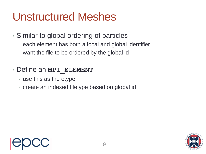### Unstructured Meshes

- Similar to global ordering of particles
	- each element has both a local and global identifier
	- want the file to be ordered by the global id
- Define an **MPI\_ELEMENT** 
	- use this as the etype
	- create an indexed filetype based on global id



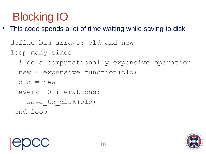# Blocking IO

• This code spends a lot of time waiting while saving to disk

```
 define big arrays: old and new
loop many times
```

```
 ! do a computationally expensive operation
```

```
 new = expensive_function(old)
```

```
 old = new
```

```
 every 10 iterations:
```

```
save to disk(old)
```
end loop

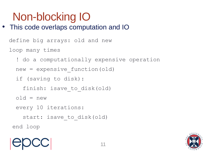# Non-blocking IO

• This code overlaps computation and IO

```
 define big arrays: old and new
loop many times
  ! do a computationally expensive operation
 new = expensive function(old) if (saving to disk):
   finish: isave to disk(old)
 old = new every 10 iterations:
   start: isave to disk(old)
 end loop
```
![](_page_10_Picture_3.jpeg)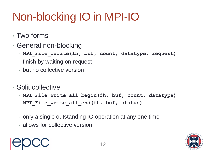# Non-blocking IO in MPI-IO

- Two forms
- General non-blocking
	- **MPI\_File\_iwrite(fh, buf, count, datatype, request)**
	- finish by waiting on request
	- but no collective version
- Split collective
	- **MPI\_File\_write\_all\_begin(fh, buf, count, datatype)**
	- **MPI** File write all end(fh, buf, status)
	- only a single outstanding IO operation at any one time
	- allows for collective version

![](_page_11_Picture_11.jpeg)

![](_page_11_Picture_13.jpeg)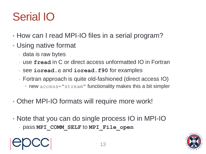# Serial IO

- How can I read MPI-IO files in a serial program?
- Using native format
	- data is raw bytes
	- use **fread** in C or direct access unformatted IO in Fortran
	- see **ioread.c** and **ioread.f90** for examples
	- Fortran approach is quite old-fashioned (direct access IO)
		- new access="stream" functionality makes this a bit simpler
- Other MPI-IO formats will require more work!
- Note that you can do single process IO in MPI-IO
	- pass **MPI\_COMM\_SELF** to **MPI\_File\_open**

![](_page_12_Picture_11.jpeg)

![](_page_12_Picture_12.jpeg)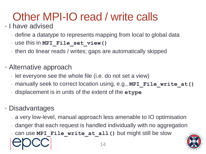# Other MPI-IO read / write calls

#### • I have advised

- define a datatype to represents mapping from local to global data
- use this in **MPI\_File\_set\_view()**
- then do linear reads / writes; gaps are automatically skipped
- Alternative approach
	- let everyone see the whole file (i.e. do not set a view)
	- manually seek to correct location using, e.g., **MPI** File write at ()
	- displacement is in units of the extent of the **etype**

#### • Disadvantages

- a very low-level, manual approach less amenable to IO optimisation
- danger that each request is handled individually with no aggregation
- can use **MPI** File write at all() but might still be slow

![](_page_13_Picture_13.jpeg)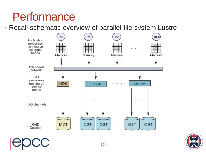### **Performance**

• Recall schematic overview of parallel file system Lustre

![](_page_14_Figure_2.jpeg)

![](_page_14_Picture_3.jpeg)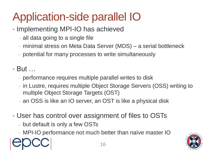# Application-side parallel IO

- Implementing MPI-IO has achieved
	- all data going to a single file
	- minimal stress on Meta Data Server (MDS) a serial bottleneck
	- potential for many processes to write simultaneously
- But …
	- performance requires multiple parallel writes to disk
	- in Lustre, requires multiple Object Storage Servers (OSS) writing to multiple Object Storage Targets (OST)
	- an OSS is like an IO server, an OST is like a physical disk
- User has control over assignment of files to OSTs
	- but default is only a few OSTs
	- MPI-IO performance not much better than naïve master IO

![](_page_15_Picture_12.jpeg)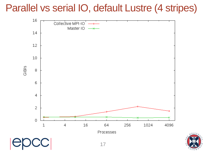### Parallel vs serial IO, default Lustre (4 stripes)

![](_page_16_Figure_1.jpeg)

 $N + V$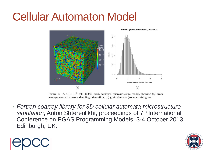### Cellular Automaton Model

![](_page_17_Figure_1.jpeg)

Figure 1: A  $4.1 \times 10^9$  cell, 40,960 grain equiaxed microstructure model, showing (a) grain arrangement with colour denoting orientation; (b) grain size size (volume) histogram.

• *Fortran coarray library for 3D cellular automata microstructure simulation*, Anton Shterenlikht, proceedings of 7th International Conference on PGAS Programming Models, 3-4 October 2013, Edinburgh, UK.

![](_page_17_Picture_4.jpeg)

![](_page_17_Picture_5.jpeg)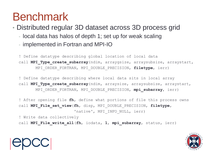### Benchmark

• Distributed regular 3D dataset across 3D process grid

- local data has halos of depth 1; set up for weak scaling
- implemented in Fortran and MPI-IO

! Define datatype describing global location of local data call **MPI Type create subarray**(ndim, arraygsize, arraysubsize, arraystart, MPI\_ORDER\_FORTRAN, MPI\_DOUBLE\_PRECISION, **filetype**, ierr)

! Define datatype describing where local data sits in local array call MPI Type create subarray (ndim, arraysize, arraysubsize, arraystart, MPI\_ORDER\_FORTRAN, MPI\_DOUBLE\_PRECISION, **mpi\_subarray**, ierr)

! After opening file **fh**, define what portions of file this process owns call **MPI\_File\_set\_view**(**fh**, disp, MPI\_DOUBLE\_PRECISION, **filetype**, 'native', MPI INFO NULL, ierr)

! Write data collectively

call **MPI\_File\_write\_all**(**fh**, iodata, **1**, **mpi\_subarray**, status, ierr)

![](_page_18_Picture_9.jpeg)

![](_page_18_Picture_10.jpeg)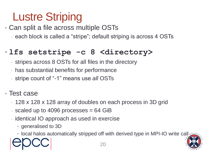# Lustre Striping

• Can split a file across multiple OSTs

- each block is called a "stripe"; default striping is across 4 OSTs

#### • **lfs setstripe -c 8 <directory>**

- stripes across 8 OSTs for all files in the directory
- has substantial benefits for performance
- stripe count of "-1" means use *all* OSTs
- Test case
	- 128 x 128 x 128 array of doubles on each process in 3D grid
	- scaled up to 4096 processes  $= 64$  GiB
	- identical IO approach as used in exercise
		- generalised to 3D
		- local halos automatically stripped off with derived type in MPI-IO write call verter

![](_page_19_Picture_13.jpeg)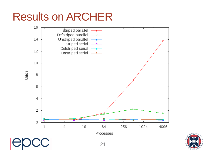### Results on ARCHER

![](_page_20_Figure_1.jpeg)

![](_page_20_Picture_2.jpeg)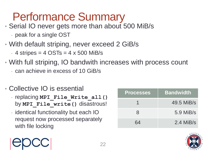# Performance Summary

- Serial IO never gets more than about 500 MiB/s
	- peak for a single OST
- With default striping, never exceed 2 GiB/s
	- $-$  4 stripes  $=$  4 OSTs  $=$  4 x 500 MiB/s
- With full striping, IO bandwith increases with process count
	- can achieve in excess of 10 GiB/s
- Collective IO is essential
	- replacing **MPI** File Write all() by **MPI\_File\_write()** disastrous!
	- identical functionality but each IO request now processed separately with file locking

| <b>Processes</b> | <b>Bandwidth</b> |
|------------------|------------------|
|                  | 49.5 MiB/s       |
| 8                | $5.9$ MiB/s      |
| 64               | $2.4$ MiB/s      |

![](_page_21_Picture_11.jpeg)

![](_page_21_Picture_12.jpeg)